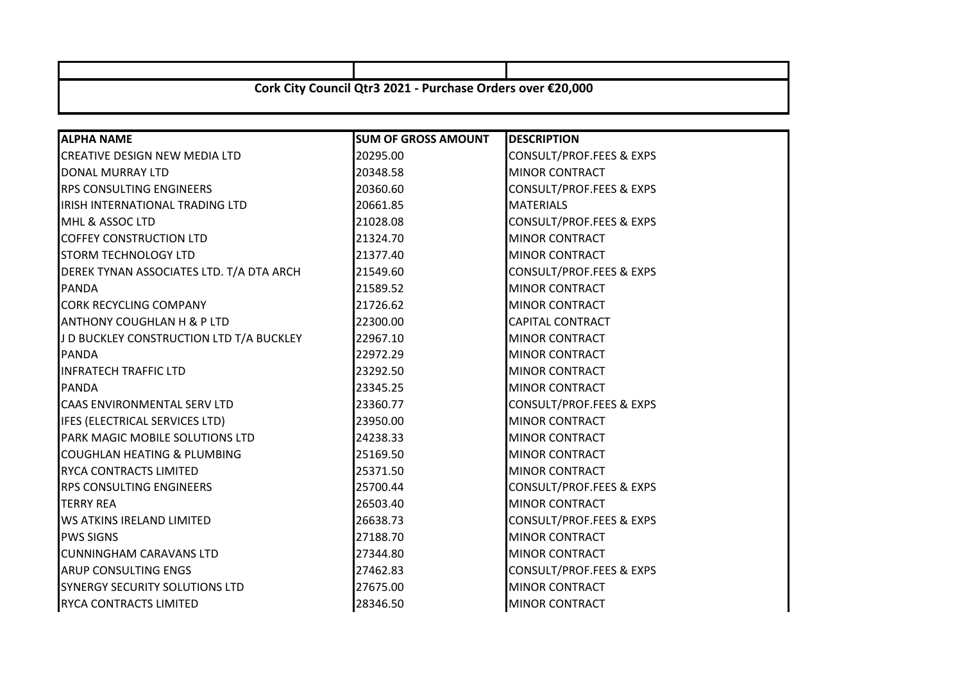| Cork City Council Qtr3 2021 - Purchase Orders over €20,000 |                            |                          |  |
|------------------------------------------------------------|----------------------------|--------------------------|--|
| <b>ALPHA NAME</b>                                          | <b>SUM OF GROSS AMOUNT</b> | <b>DESCRIPTION</b>       |  |
| <b>CREATIVE DESIGN NEW MEDIA LTD</b>                       | 20295.00                   | CONSULT/PROF.FEES & EXPS |  |
| DONAL MURRAY LTD                                           | 20348.58                   | <b>MINOR CONTRACT</b>    |  |
| <b>RPS CONSULTING ENGINEERS</b>                            | 20360.60                   | CONSULT/PROF.FEES & EXPS |  |
| IRISH INTERNATIONAL TRADING LTD                            | 20661.85                   | <b>MATERIALS</b>         |  |
| MHL & ASSOC LTD                                            | 21028.08                   | CONSULT/PROF.FEES & EXPS |  |
| <b>COFFEY CONSTRUCTION LTD</b>                             | 21324.70                   | <b>MINOR CONTRACT</b>    |  |
| <b>STORM TECHNOLOGY LTD</b>                                | 21377.40                   | <b>MINOR CONTRACT</b>    |  |
| DEREK TYNAN ASSOCIATES LTD. T/A DTA ARCH                   | 21549.60                   | CONSULT/PROF.FEES & EXPS |  |
| <b>PANDA</b>                                               | 21589.52                   | <b>MINOR CONTRACT</b>    |  |
| <b>CORK RECYCLING COMPANY</b>                              | 21726.62                   | <b>MINOR CONTRACT</b>    |  |
| <b>ANTHONY COUGHLAN H &amp; P LTD</b>                      | 22300.00                   | CAPITAL CONTRACT         |  |
| J D BUCKLEY CONSTRUCTION LTD T/A BUCKLEY                   | 22967.10                   | <b>MINOR CONTRACT</b>    |  |
| <b>PANDA</b>                                               | 22972.29                   | <b>MINOR CONTRACT</b>    |  |
| <b>INFRATECH TRAFFIC LTD</b>                               | 23292.50                   | <b>MINOR CONTRACT</b>    |  |
| <b>PANDA</b>                                               | 23345.25                   | <b>MINOR CONTRACT</b>    |  |
| CAAS ENVIRONMENTAL SERV LTD                                | 23360.77                   | CONSULT/PROF.FEES & EXPS |  |
| IFES (ELECTRICAL SERVICES LTD)                             | 23950.00                   | <b>MINOR CONTRACT</b>    |  |
| PARK MAGIC MOBILE SOLUTIONS LTD                            | 24238.33                   | <b>MINOR CONTRACT</b>    |  |
| <b>COUGHLAN HEATING &amp; PLUMBING</b>                     | 25169.50                   | <b>MINOR CONTRACT</b>    |  |
| RYCA CONTRACTS LIMITED                                     | 25371.50                   | <b>MINOR CONTRACT</b>    |  |
| <b>RPS CONSULTING ENGINEERS</b>                            | 25700.44                   | CONSULT/PROF.FEES & EXPS |  |
| <b>TERRY REA</b>                                           | 26503.40                   | <b>MINOR CONTRACT</b>    |  |
| <b>WS ATKINS IRELAND LIMITED</b>                           | 26638.73                   | CONSULT/PROF.FEES & EXPS |  |
| <b>PWS SIGNS</b>                                           | 27188.70                   | <b>MINOR CONTRACT</b>    |  |
| <b>CUNNINGHAM CARAVANS LTD</b>                             | 27344.80                   | <b>MINOR CONTRACT</b>    |  |
| <b>ARUP CONSULTING ENGS</b>                                | 27462.83                   | CONSULT/PROF.FEES & EXPS |  |
| SYNERGY SECURITY SOLUTIONS LTD                             | 27675.00                   | <b>MINOR CONTRACT</b>    |  |
| <b>RYCA CONTRACTS LIMITED</b>                              | 28346.50                   | <b>MINOR CONTRACT</b>    |  |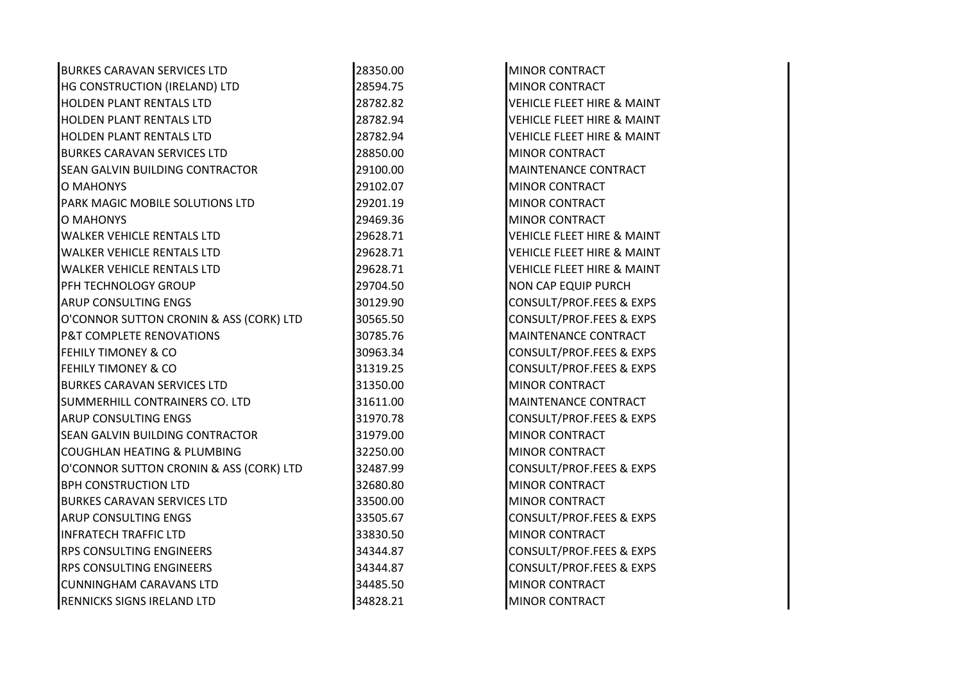| <b>BURKES CARAVAN SERVICES LTD</b>      | 28350.00 | <b>MINOR CONTRACT</b>                 |
|-----------------------------------------|----------|---------------------------------------|
| HG CONSTRUCTION (IRELAND) LTD           | 28594.75 | <b>MINOR CONTRACT</b>                 |
| HOLDEN PLANT RENTALS LTD                | 28782.82 | VEHICLE FLEET HIRE & MAINT            |
| HOLDEN PLANT RENTALS LTD                | 28782.94 | <b>VEHICLE FLEET HIRE &amp; MAINT</b> |
| <b>HOLDEN PLANT RENTALS LTD</b>         | 28782.94 | <b>VEHICLE FLEET HIRE &amp; MAINT</b> |
| <b>BURKES CARAVAN SERVICES LTD</b>      | 28850.00 | <b>MINOR CONTRACT</b>                 |
| SEAN GALVIN BUILDING CONTRACTOR         | 29100.00 | <b>MAINTENANCE CONTRACT</b>           |
| O MAHONYS                               | 29102.07 | <b>MINOR CONTRACT</b>                 |
| PARK MAGIC MOBILE SOLUTIONS LTD         | 29201.19 | <b>MINOR CONTRACT</b>                 |
| O MAHONYS                               | 29469.36 | <b>MINOR CONTRACT</b>                 |
| <b>WALKER VEHICLE RENTALS LTD</b>       | 29628.71 | <b>VEHICLE FLEET HIRE &amp; MAINT</b> |
| <b>WALKER VEHICLE RENTALS LTD</b>       | 29628.71 | <b>VEHICLE FLEET HIRE &amp; MAINT</b> |
| <b>WALKER VEHICLE RENTALS LTD</b>       | 29628.71 | <b>VEHICLE FLEET HIRE &amp; MAINT</b> |
| PFH TECHNOLOGY GROUP                    | 29704.50 | NON CAP EQUIP PURCH                   |
| ARUP CONSULTING ENGS                    | 30129.90 | CONSULT/PROF.FEES & EXPS              |
| O'CONNOR SUTTON CRONIN & ASS (CORK) LTD | 30565.50 | CONSULT/PROF.FEES & EXPS              |
| P&T COMPLETE RENOVATIONS                | 30785.76 | MAINTENANCE CONTRACT                  |
| <b>FEHILY TIMONEY &amp; CO</b>          | 30963.34 | CONSULT/PROF.FEES & EXPS              |
| FEHILY TIMONEY & CO                     | 31319.25 | CONSULT/PROF.FEES & EXPS              |
| <b>BURKES CARAVAN SERVICES LTD</b>      | 31350.00 | <b>MINOR CONTRACT</b>                 |
| SUMMERHILL CONTRAINERS CO. LTD          | 31611.00 | MAINTENANCE CONTRACT                  |
| ARUP CONSULTING ENGS                    | 31970.78 | <b>CONSULT/PROF.FEES &amp; EXPS</b>   |
| SEAN GALVIN BUILDING CONTRACTOR         | 31979.00 | <b>MINOR CONTRACT</b>                 |
| COUGHLAN HEATING & PLUMBING             | 32250.00 | <b>MINOR CONTRACT</b>                 |
| O'CONNOR SUTTON CRONIN & ASS (CORK) LTD | 32487.99 | CONSULT/PROF.FEES & EXPS              |
| <b>BPH CONSTRUCTION LTD</b>             | 32680.80 | <b>MINOR CONTRACT</b>                 |
| <b>BURKES CARAVAN SERVICES LTD</b>      | 33500.00 | <b>MINOR CONTRACT</b>                 |
| ARUP CONSULTING ENGS                    | 33505.67 | CONSULT/PROF.FEES & EXPS              |
| <b>INFRATECH TRAFFIC LTD</b>            | 33830.50 | <b>MINOR CONTRACT</b>                 |
| RPS CONSULTING ENGINEERS                | 34344.87 | CONSULT/PROF.FEES & EXPS              |
| RPS CONSULTING ENGINEERS                | 34344.87 | CONSULT/PROF.FEES & EXPS              |
| <b>CUNNINGHAM CARAVANS LTD</b>          | 34485.50 | <b>MINOR CONTRACT</b>                 |
| RENNICKS SIGNS IRELAND LTD              | 34828.21 | <b>MINOR CONTRACT</b>                 |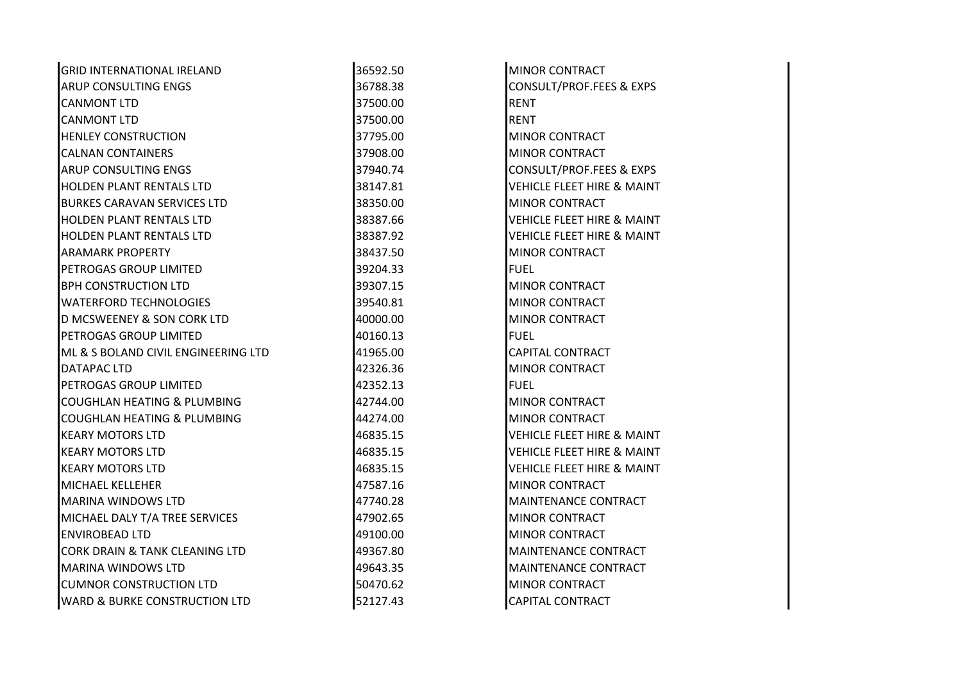| <b>GRID INTERNATIONAL IRELAND</b>         | 36592.50 | <b>MINOR CONTRACT</b>                 |
|-------------------------------------------|----------|---------------------------------------|
| <b>ARUP CONSULTING ENGS</b>               | 36788.38 | CONSULT/PROF.FEES & EXPS              |
| <b>CANMONT LTD</b>                        | 37500.00 | <b>RENT</b>                           |
| <b>CANMONT LTD</b>                        | 37500.00 | <b>RENT</b>                           |
| <b>HENLEY CONSTRUCTION</b>                | 37795.00 | MINOR CONTRACT                        |
| <b>CALNAN CONTAINERS</b>                  | 37908.00 | <b>MINOR CONTRACT</b>                 |
| <b>ARUP CONSULTING ENGS</b>               | 37940.74 | CONSULT/PROF.FEES & EXPS              |
| <b>HOLDEN PLANT RENTALS LTD</b>           | 38147.81 | <b>VEHICLE FLEET HIRE &amp; MAINT</b> |
| <b>BURKES CARAVAN SERVICES LTD</b>        | 38350.00 | <b>MINOR CONTRACT</b>                 |
| <b>HOLDEN PLANT RENTALS LTD</b>           | 38387.66 | <b>VEHICLE FLEET HIRE &amp; MAINT</b> |
| <b>HOLDEN PLANT RENTALS LTD</b>           | 38387.92 | <b>VEHICLE FLEET HIRE &amp; MAINT</b> |
| <b>ARAMARK PROPERTY</b>                   | 38437.50 | <b>MINOR CONTRACT</b>                 |
| PETROGAS GROUP LIMITED                    | 39204.33 | <b>FUEL</b>                           |
| <b>BPH CONSTRUCTION LTD</b>               | 39307.15 | <b>MINOR CONTRACT</b>                 |
| <b>WATERFORD TECHNOLOGIES</b>             | 39540.81 | <b>MINOR CONTRACT</b>                 |
| <b>D MCSWEENEY &amp; SON CORK LTD</b>     | 40000.00 | <b>MINOR CONTRACT</b>                 |
| PETROGAS GROUP LIMITED                    | 40160.13 | <b>FUEL</b>                           |
| ML & S BOLAND CIVIL ENGINEERING LTD       | 41965.00 | <b>CAPITAL CONTRACT</b>               |
| DATAPAC LTD                               | 42326.36 | <b>MINOR CONTRACT</b>                 |
| PETROGAS GROUP LIMITED                    | 42352.13 | <b>FUEL</b>                           |
| <b>COUGHLAN HEATING &amp; PLUMBING</b>    | 42744.00 | <b>MINOR CONTRACT</b>                 |
| <b>COUGHLAN HEATING &amp; PLUMBING</b>    | 44274.00 | <b>MINOR CONTRACT</b>                 |
| <b>KEARY MOTORS LTD</b>                   | 46835.15 | <b>VEHICLE FLEET HIRE &amp; MAINT</b> |
| <b>KEARY MOTORS LTD</b>                   | 46835.15 | <b>VEHICLE FLEET HIRE &amp; MAINT</b> |
| <b>KEARY MOTORS LTD</b>                   | 46835.15 | <b>VEHICLE FLEET HIRE &amp; MAINT</b> |
| <b>MICHAEL KELLEHER</b>                   | 47587.16 | <b>MINOR CONTRACT</b>                 |
| <b>MARINA WINDOWS LTD</b>                 | 47740.28 | MAINTENANCE CONTRACT                  |
| MICHAEL DALY T/A TREE SERVICES            | 47902.65 | <b>MINOR CONTRACT</b>                 |
| <b>ENVIROBEAD LTD</b>                     | 49100.00 | <b>MINOR CONTRACT</b>                 |
| <b>CORK DRAIN &amp; TANK CLEANING LTD</b> | 49367.80 | MAINTENANCE CONTRACT                  |
| <b>MARINA WINDOWS LTD</b>                 | 49643.35 | <b>MAINTENANCE CONTRACT</b>           |
| <b>CUMNOR CONSTRUCTION LTD</b>            | 50470.62 | <b>MINOR CONTRACT</b>                 |
| <b>WARD &amp; BURKE CONSTRUCTION LTD</b>  | 52127.43 | <b>CAPITAL CONTRACT</b>               |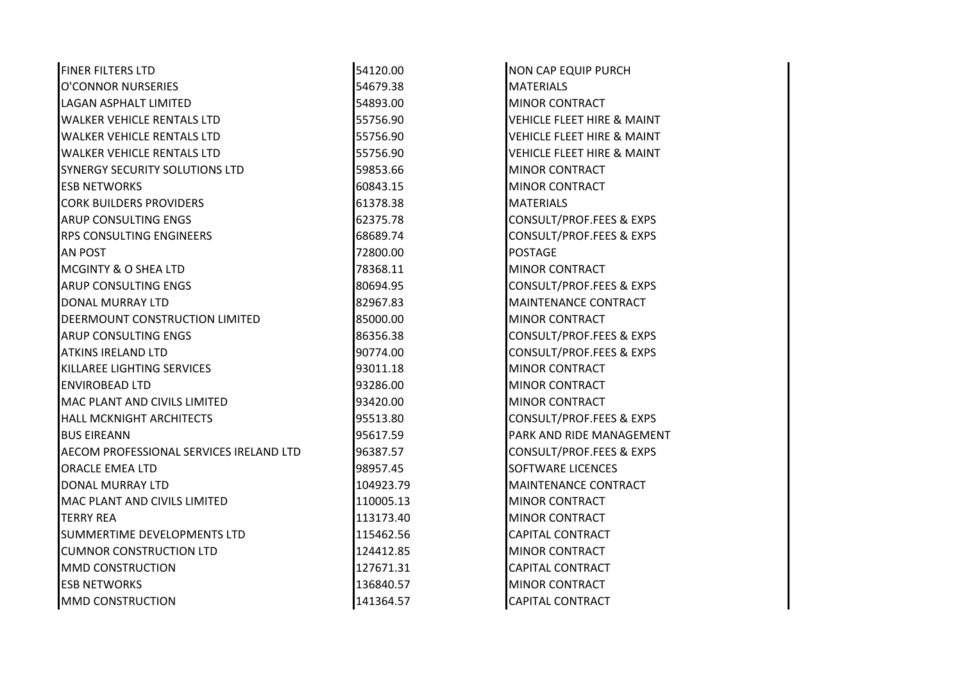| <b>FINER FILTERS LTD</b>                | 54120.00  | <b>NON CAP EQUIP PURCH</b>            |
|-----------------------------------------|-----------|---------------------------------------|
| O'CONNOR NURSERIES                      | 54679.38  | <b>MATERIALS</b>                      |
| <b>LAGAN ASPHALT LIMITED</b>            | 54893.00  | MINOR CONTRACT                        |
| <b>WALKER VEHICLE RENTALS LTD</b>       | 55756.90  | <b>VEHICLE FLEET HIRE &amp; MAINT</b> |
| <b>WALKER VEHICLE RENTALS LTD</b>       | 55756.90  | <b>VEHICLE FLEET HIRE &amp; MAINT</b> |
| <b>WALKER VEHICLE RENTALS LTD</b>       | 55756.90  | <b>VEHICLE FLEET HIRE &amp; MAINT</b> |
| SYNERGY SECURITY SOLUTIONS LTD          | 59853.66  | <b>MINOR CONTRACT</b>                 |
| <b>ESB NETWORKS</b>                     | 60843.15  | <b>MINOR CONTRACT</b>                 |
| <b>CORK BUILDERS PROVIDERS</b>          | 61378.38  | <b>MATERIALS</b>                      |
| ARUP CONSULTING ENGS                    | 62375.78  | <b>CONSULT/PROF.FEES &amp; EXPS</b>   |
| <b>RPS CONSULTING ENGINEERS</b>         | 68689.74  | <b>CONSULT/PROF.FEES &amp; EXPS</b>   |
| <b>AN POST</b>                          | 72800.00  | <b>POSTAGE</b>                        |
| <b>MCGINTY &amp; O SHEA LTD</b>         | 78368.11  | <b>MINOR CONTRACT</b>                 |
| <b>ARUP CONSULTING ENGS</b>             | 80694.95  | <b>CONSULT/PROF.FEES &amp; EXPS</b>   |
| DONAL MURRAY LTD                        | 82967.83  | <b>MAINTENANCE CONTRACT</b>           |
| DEERMOUNT CONSTRUCTION LIMITED          | 85000.00  | <b>MINOR CONTRACT</b>                 |
| ARUP CONSULTING ENGS                    | 86356.38  | <b>CONSULT/PROF.FEES &amp; EXPS</b>   |
| <b>ATKINS IRELAND LTD</b>               | 90774.00  | <b>CONSULT/PROF.FEES &amp; EXPS</b>   |
| KILLAREE LIGHTING SERVICES              | 93011.18  | <b>MINOR CONTRACT</b>                 |
| <b>ENVIROBEAD LTD</b>                   | 93286.00  | <b>MINOR CONTRACT</b>                 |
| MAC PLANT AND CIVILS LIMITED            | 93420.00  | <b>MINOR CONTRACT</b>                 |
| <b>HALL MCKNIGHT ARCHITECTS</b>         | 95513.80  | <b>CONSULT/PROF.FEES &amp; EXPS</b>   |
| <b>BUS EIREANN</b>                      | 95617.59  | PARK AND RIDE MANAGEMENT              |
| AECOM PROFESSIONAL SERVICES IRELAND LTD | 96387.57  | CONSULT/PROF.FEES & EXPS              |
| <b>ORACLE EMEA LTD</b>                  | 98957.45  | <b>SOFTWARE LICENCES</b>              |
| DONAL MURRAY LTD                        | 104923.79 | MAINTENANCE CONTRACT                  |
| <b>MAC PLANT AND CIVILS LIMITED</b>     | 110005.13 | <b>MINOR CONTRACT</b>                 |
| <b>TERRY REA</b>                        | 113173.40 | <b>MINOR CONTRACT</b>                 |
| SUMMERTIME DEVELOPMENTS LTD             | 115462.56 | <b>CAPITAL CONTRACT</b>               |
| <b>CUMNOR CONSTRUCTION LTD</b>          | 124412.85 | <b>MINOR CONTRACT</b>                 |
| <b>MMD CONSTRUCTION</b>                 | 127671.31 | <b>CAPITAL CONTRACT</b>               |
| <b>ESB NETWORKS</b>                     | 136840.57 | <b>MINOR CONTRACT</b>                 |
| <b>MMD CONSTRUCTION</b>                 | 141364.57 | <b>CAPITAL CONTRACT</b>               |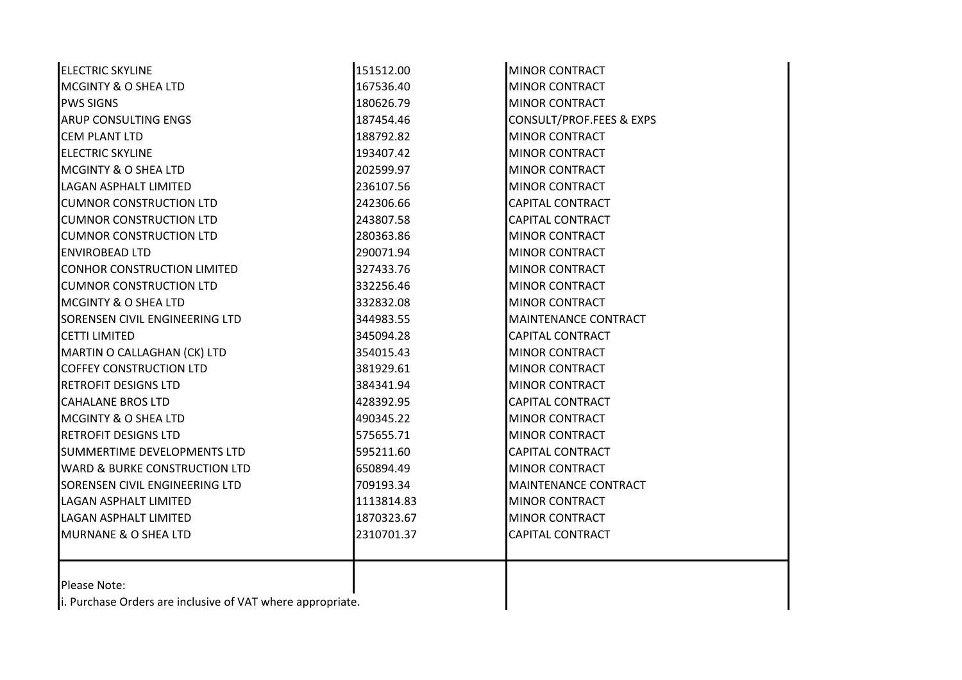| <b>ELECTRIC SKYLINE</b>                                    | 151512.00  | <b>MINOR CONTRACT</b>       |
|------------------------------------------------------------|------------|-----------------------------|
| <b>MCGINTY &amp; O SHEA LTD</b>                            | 167536.40  | <b>MINOR CONTRACT</b>       |
| <b>PWS SIGNS</b>                                           | 180626.79  | <b>MINOR CONTRACT</b>       |
| <b>ARUP CONSULTING ENGS</b>                                | 187454.46  | CONSULT/PROF.FEES & EXPS    |
| <b>CEM PLANT LTD</b>                                       | 188792.82  | <b>MINOR CONTRACT</b>       |
| <b>ELECTRIC SKYLINE</b>                                    | 193407.42  | <b>MINOR CONTRACT</b>       |
| <b>MCGINTY &amp; O SHEA LTD</b>                            | 202599.97  | <b>MINOR CONTRACT</b>       |
| LAGAN ASPHALT LIMITED                                      | 236107.56  | <b>MINOR CONTRACT</b>       |
| <b>CUMNOR CONSTRUCTION LTD</b>                             | 242306.66  | <b>CAPITAL CONTRACT</b>     |
| <b>CUMNOR CONSTRUCTION LTD</b>                             | 243807.58  | <b>CAPITAL CONTRACT</b>     |
| <b>CUMNOR CONSTRUCTION LTD</b>                             | 280363.86  | <b>MINOR CONTRACT</b>       |
| <b>ENVIROBEAD LTD</b>                                      | 290071.94  | <b>MINOR CONTRACT</b>       |
| <b>CONHOR CONSTRUCTION LIMITED</b>                         | 327433.76  | <b>MINOR CONTRACT</b>       |
| <b>CUMNOR CONSTRUCTION LTD</b>                             | 332256.46  | <b>MINOR CONTRACT</b>       |
| MCGINTY & O SHEA LTD                                       | 332832.08  | <b>MINOR CONTRACT</b>       |
| SORENSEN CIVIL ENGINEERING LTD                             | 344983.55  | MAINTENANCE CONTRACT        |
| <b>CETTI LIMITED</b>                                       | 345094.28  | <b>CAPITAL CONTRACT</b>     |
| MARTIN O CALLAGHAN (CK) LTD                                | 354015.43  | <b>MINOR CONTRACT</b>       |
| <b>COFFEY CONSTRUCTION LTD</b>                             | 381929.61  | <b>MINOR CONTRACT</b>       |
| <b>RETROFIT DESIGNS LTD</b>                                | 384341.94  | <b>MINOR CONTRACT</b>       |
| <b>CAHALANE BROS LTD</b>                                   | 428392.95  | <b>CAPITAL CONTRACT</b>     |
| MCGINTY & O SHEA LTD                                       | 490345.22  | <b>MINOR CONTRACT</b>       |
| <b>RETROFIT DESIGNS LTD</b>                                | 575655.71  | <b>MINOR CONTRACT</b>       |
| SUMMERTIME DEVELOPMENTS LTD                                | 595211.60  | <b>CAPITAL CONTRACT</b>     |
| <b>WARD &amp; BURKE CONSTRUCTION LTD</b>                   | 650894.49  | <b>MINOR CONTRACT</b>       |
| SORENSEN CIVIL ENGINEERING LTD                             | 709193.34  | <b>MAINTENANCE CONTRACT</b> |
| <b>LAGAN ASPHALT LIMITED</b>                               | 1113814.83 | <b>MINOR CONTRACT</b>       |
| <b>LAGAN ASPHALT LIMITED</b>                               | 1870323.67 | <b>MINOR CONTRACT</b>       |
| <b>MURNANE &amp; O SHEA LTD</b>                            | 2310701.37 | <b>CAPITAL CONTRACT</b>     |
|                                                            |            |                             |
| Please Note:                                               |            |                             |
| i. Purchase Orders are inclusive of VAT where appropriate. |            |                             |